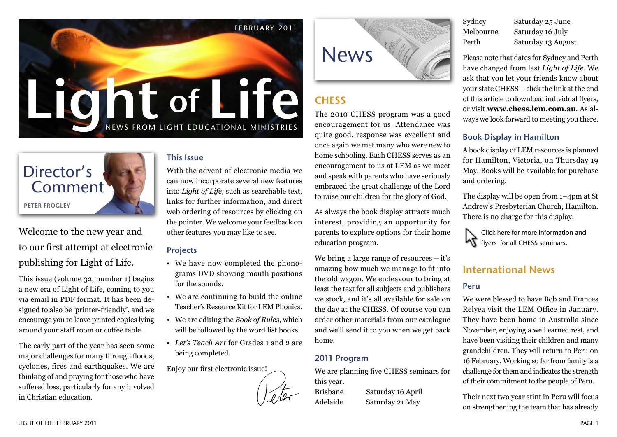

# Director's Comment Peter Frogley

Welcome to the new year and to our first attempt at electronic publishing for Light of Life.

This issue (volume 32, number 1) begins a new era of Light of Life, coming to you via email in PDF format. It has been designed to also be 'printer-friendly', and we encourage you to leave printed copies lying around your staff room or coffee table.

The early part of the year has seen some major challenges for many through floods, cyclones, fires and earthquakes. We are thinking of and praying for those who have suffered loss, particularly for any involved in Christian education.

#### This Issue

With the advent of electronic media we can now incorporate several new features into *Light of Life*, such as searchable text, links for further information, and direct web ordering of resources by clicking on the pointer. We welcome your feedback on other features you may like to see.

#### Projects

- We have now completed the phonograms DVD showing mouth positions for the sounds.
- We are continuing to build the online Teacher's Resource Kit for LEM Phonics.
- We are editing the *Book of Rules*, which will be followed by the word list books.
- *Let's Teach Art* for Grades 1 and 2 are being completed.

Enjoy our first electronic issue!





# **CHESS**

The 2010 CHESS program was a good encouragement for us. Attendance was quite good, response was excellent and once again we met many who were new to home schooling. Each CHESS serves as an encouragement to us at LEM as we meet and speak with parents who have seriously embraced the great challenge of the Lord to raise our children for the glory of God.

As always the book display attracts much interest, providing an opportunity for parents to explore options for their home education program.

We bring a large range of resources — it's amazing how much we manage to fit into the old wagon. We endeavour to bring at least the text for all subjects and publishers we stock, and it's all available for sale on the day at the CHESS. Of course you can order other materials from our catalogue and we'll send it to you when we get back home.

#### 2011 Program

We are planning five CHESS seminars for this year.

Brisbane Saturday 16 April Adelaide Saturday 21 May

Sydney Saturday 25 June Melbourne Saturday 16 July Perth Saturday 13 August

Please note that dates for Sydney and Perth have changed from last *Light of Life*. We ask that you let your friends know about your state CHESS—click the link at the end of this article to download individual flyers, or visit **www.chess.lem.com.au**. As always we look forward to meeting you there.

#### Book Display in Hamilton

A book display of LEM resources is planned for Hamilton, Victoria, on Thursday 19 May. Books will be available for purchase and ordering.

The display will be open from 1–4pm at St Andrew's Presbyterian Church, Hamilton. There is no charge for this display.



### International News

#### Peru

We were blessed to have Bob and Frances Relyea visit the LEM Office in January. They have been home in Australia since November, enjoying a well earned rest, and have been visiting their children and many grandchildren. They will return to Peru on 16 February. Working so far from family is a challenge for them and indicates the strength of their commitment to the people of Peru.

Their next two year stint in Peru will focus on strengthening the team that has already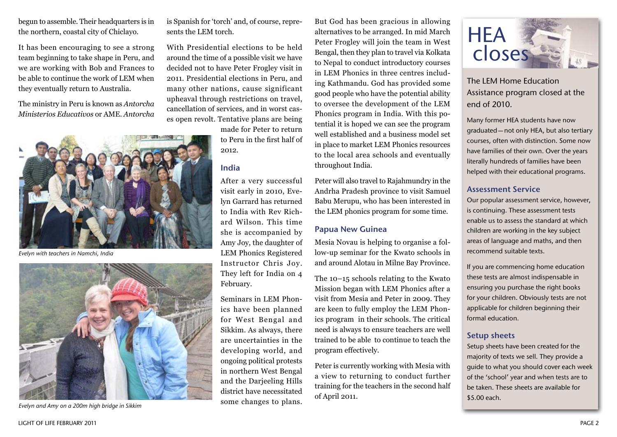begun to assemble. Their headquarters is in the northern, coastal city of Chiclayo.

It has been encouraging to see a strong team beginning to take shape in Peru, and we are working with Bob and Frances to be able to continue the work of LEM when they eventually return to Australia.

The ministry in Peru is known as *Antorcha Ministerios Educativos* or AME. *Antorcha* 



*Evelyn with teachers in Namchi, India*



*Evelyn and Amy on a 200m high bridge in Sikkim*

is Spanish for 'torch' and, of course, represents the LEM torch.

With Presidential elections to be held around the time of a possible visit we have decided not to have Peter Frogley visit in 2011. Presidential elections in Peru, and many other nations, cause significant upheaval through restrictions on travel, cancellation of services, and in worst cases open revolt. Tentative plans are being

> made for Peter to return to Peru in the first half of 2012.

#### India

After a very successful visit early in 2010, Evelyn Garrard has returned to India with Rev Richard Wilson. This time she is accompanied by Amy Joy, the daughter of LEM Phonics Registered Instructor Chris Joy. They left for India on 4 February.

Seminars in LEM Phonics have been planned for West Bengal and Sikkim. As always, there are uncertainties in the developing world, and ongoing political protests in northern West Bengal and the Darjeeling Hills district have necessitated some changes to plans.

But God has been gracious in allowing alternatives to be arranged. In mid March Peter Frogley will join the team in West Bengal, then they plan to travel via Kolkata to Nepal to conduct introductory courses in LEM Phonics in three centres including Kathmandu. God has provided some good people who have the potential ability to oversee the development of the LEM Phonics program in India. With this potential it is hoped we can see the program well established and a business model set in place to market LEM Phonics resources to the local area schools and eventually throughout India.

Peter will also travel to Rajahmundry in the Andrha Pradesh province to visit Samuel Babu Merupu, who has been interested in the LEM phonics program for some time.

#### Papua New Guinea

Mesia Novau is helping to organise a follow-up seminar for the Kwato schools in and around Alotau in Milne Bay Province.

The 10–15 schools relating to the Kwato Mission began with LEM Phonics after a visit from Mesia and Peter in 2009. They are keen to fully employ the LEM Phonics program in their schools. The critical need is always to ensure teachers are well trained to be able to continue to teach the program effectively.

Peter is currently working with Mesia with a view to returning to conduct further training for the teachers in the second half of April 2011.



The LEM Home Education Assistance program closed at the end of 2010.

Many former HEA students have now graduated—not only HEA, but also tertiary courses, often with distinction. Some now have families of their own. Over the years literally hundreds of families have been helped with their educational programs.

#### Assessment Service

Our popular assessment service, however, is continuing. These assessment tests enable us to assess the standard at which children are working in the key subject areas of language and maths, and then recommend suitable texts.

If you are commencing home education these tests are almost indispensable in ensuring you purchase the right books for your children. Obviously tests are not applicable for children beginning their formal education.

#### Setup sheets

Setup sheets have been created for the majority of texts we sell. They provide a guide to what you should cover each week of the 'school' year and when tests are to be taken. These sheets are available for \$5.00 each.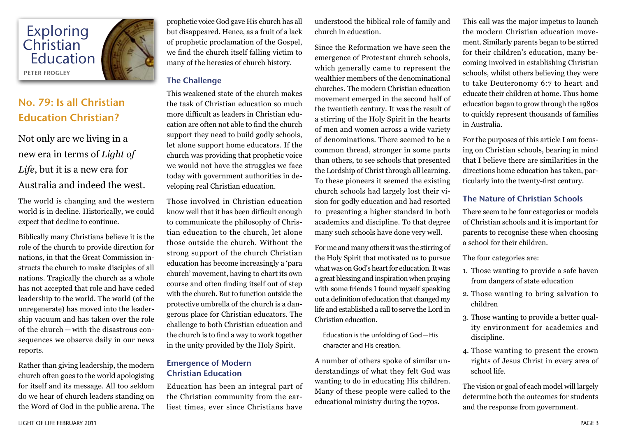

# No. 79: Is all Christian Education Christian?

Not only are we living in a new era in terms of *Light of Life*, but it is a new era for Australia and indeed the west.

The world is changing and the western world is in decline. Historically, we could expect that decline to continue.

Biblically many Christians believe it is the role of the church to provide direction for nations, in that the Great Commission instructs the church to make disciples of all nations. Tragically the church as a whole has not accepted that role and have ceded leadership to the world. The world (of the unregenerate) has moved into the leadership vacuum and has taken over the role of the church — with the disastrous consequences we observe daily in our news reports.

Rather than giving leadership, the modern church often goes to the world apologising for itself and its message. All too seldom do we hear of church leaders standing on the Word of God in the public arena. The prophetic voice God gave His church has all but disappeared. Hence, as a fruit of a lack of prophetic proclamation of the Gospel, we find the church itself falling victim to many of the heresies of church history.

### The Challenge

This weakened state of the church makes the task of Christian education so much more difficult as leaders in Christian education are often not able to find the church support they need to build godly schools, let alone support home educators. If the church was providing that prophetic voice we would not have the struggles we face today with government authorities in developing real Christian education.

Those involved in Christian education know well that it has been difficult enough to communicate the philosophy of Christian education to the church, let alone those outside the church. Without the strong support of the church Christian education has become increasingly a 'para church' movement, having to chart its own course and often finding itself out of step with the church. But to function outside the protective umbrella of the church is a dangerous place for Christian educators. The challenge to both Christian education and the church is to find a way to work together in the unity provided by the Holy Spirit.

#### Emergence of Modern Christian Education

Education has been an integral part of the Christian community from the earliest times, ever since Christians have

understood the biblical role of family and church in education.

Since the Reformation we have seen the emergence of Protestant church schools, which generally came to represent the wealthier members of the denominational churches. The modern Christian education movement emerged in the second half of the twentieth century. It was the result of a stirring of the Holy Spirit in the hearts of men and women across a wide variety of denominations. There seemed to be a common thread, stronger in some parts than others, to see schools that presented the Lordship of Christ through all learning. To these pioneers it seemed the existing church schools had largely lost their vision for godly education and had resorted to presenting a higher standard in both academics and discipline. To that degree many such schools have done very well.

For me and many others it was the stirring of the Holy Spirit that motivated us to pursue what was on God's heart for education. It was a great blessing and inspiration when praying with some friends I found myself speaking out a definition of education that changed my life and established a call to serve the Lord in Christian education.

Education is the unfolding of God—His character and His creation.

A number of others spoke of similar understandings of what they felt God was wanting to do in educating His children. Many of these people were called to the educational ministry during the 1970s.

This call was the major impetus to launch the modern Christian education movement. Similarly parents began to be stirred for their children's education, many becoming involved in establishing Christian schools, whilst others believing they were to take Deuteronomy 6:7 to heart and educate their children at home. Thus home education began to grow through the 1980s to quickly represent thousands of families in Australia.

For the purposes of this article I am focusing on Christian schools, bearing in mind that I believe there are similarities in the directions home education has taken, particularly into the twenty-first century.

#### The Nature of Christian Schools

There seem to be four categories or models of Christian schools and it is important for parents to recognise these when choosing a school for their children.

The four categories are:

- 1. Those wanting to provide a safe haven from dangers of state education
- 2. Those wanting to bring salvation to children
- 3. Those wanting to provide a better quality environment for academics and discipline.
- 4. Those wanting to present the crown rights of Jesus Christ in every area of school life.

The vision or goal of each model will largely determine both the outcomes for students and the response from government.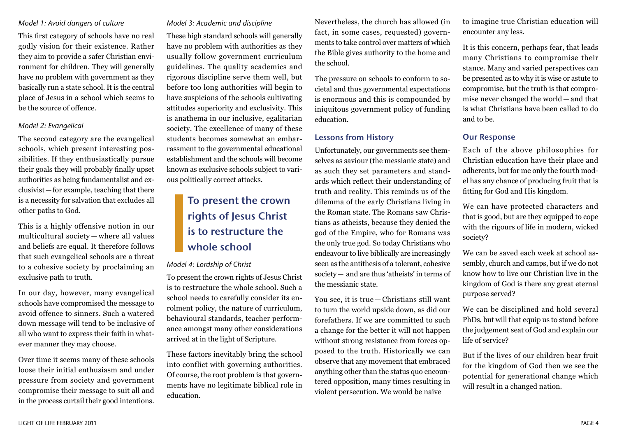#### *Model 1: Avoid dangers of culture*

This first category of schools have no real godly vision for their existence. Rather they aim to provide a safer Christian environment for children. They will generally have no problem with government as they basically run a state school. It is the central place of Jesus in a school which seems to be the source of offence.

#### *Model 2: Evangelical*

The second category are the evangelical schools, which present interesting possibilities. If they enthusiastically pursue their goals they will probably finally upset authorities as being fundamentalist and exclusivist—for example, teaching that there is a necessity for salvation that excludes all other paths to God.

This is a highly offensive notion in our multicultural society — where all values and beliefs are equal. It therefore follows that such evangelical schools are a threat to a cohesive society by proclaiming an exclusive path to truth.

In our day, however, many evangelical schools have compromised the message to avoid offence to sinners. Such a watered down message will tend to be inclusive of all who want to express their faith in whatever manner they may choose.

Over time it seems many of these schools loose their initial enthusiasm and under pressure from society and government compromise their message to suit all and in the process curtail their good intentions.

#### *Model 3: Academic and discipline*

These high standard schools will generally have no problem with authorities as they usually follow government curriculum guidelines. The quality academics and rigorous discipline serve them well, but before too long authorities will begin to have suspicions of the schools cultivating attitudes superiority and exclusivity. This is anathema in our inclusive, egalitarian society. The excellence of many of these students becomes somewhat an embarrassment to the governmental educational establishment and the schools will become known as exclusive schools subject to various politically correct attacks.

# To present the crown rights of Jesus Christ is to restructure the whole school

#### *Model 4: Lordship of Christ*

To present the crown rights of Jesus Christ is to restructure the whole school. Such a school needs to carefully consider its enrolment policy, the nature of curriculum, behavioural standards, teacher performance amongst many other considerations arrived at in the light of Scripture.

These factors inevitably bring the school into conflict with governing authorities. Of course, the root problem is that governments have no legitimate biblical role in education.

Nevertheless, the church has allowed (in fact, in some cases, requested) governments to take control over matters of which the Bible gives authority to the home and the school.

The pressure on schools to conform to societal and thus governmental expectations is enormous and this is compounded by iniquitous government policy of funding education.

#### Lessons from History

Unfortunately, our governments see themselves as saviour (the messianic state) and as such they set parameters and standards which reflect their understanding of truth and reality. This reminds us of the dilemma of the early Christians living in the Roman state. The Romans saw Christians as atheists, because they denied the god of the Empire, who for Romans was the only true god. So today Christians who endeavour to live biblically are increasingly seen as the antithesis of a tolerant, cohesive society— and are thus 'atheists' in terms of the messianic state.

You see, it is true — Christians still want to turn the world upside down, as did our forefathers. If we are committed to such a change for the better it will not happen without strong resistance from forces opposed to the truth. Historically we can observe that any movement that embraced anything other than the status quo encountered opposition, many times resulting in violent persecution. We would be naive

to imagine true Christian education will encounter any less.

It is this concern, perhaps fear, that leads many Christians to compromise their stance. Many and varied perspectives can be presented as to why it is wise or astute to compromise, but the truth is that compromise never changed the world — and that is what Christians have been called to do and to be.

#### Our Response

Each of the above philosophies for Christian education have their place and adherents, but for me only the fourth model has any chance of producing fruit that is fitting for God and His kingdom.

We can have protected characters and that is good, but are they equipped to cope with the rigours of life in modern, wicked society?

We can be saved each week at school assembly, church and camps, but if we do not know how to live our Christian live in the kingdom of God is there any great eternal purpose served?

We can be disciplined and hold several PhDs, but will that equip us to stand before the judgement seat of God and explain our life of service?

But if the lives of our children bear fruit for the kingdom of God then we see the potential for generational change which will result in a changed nation.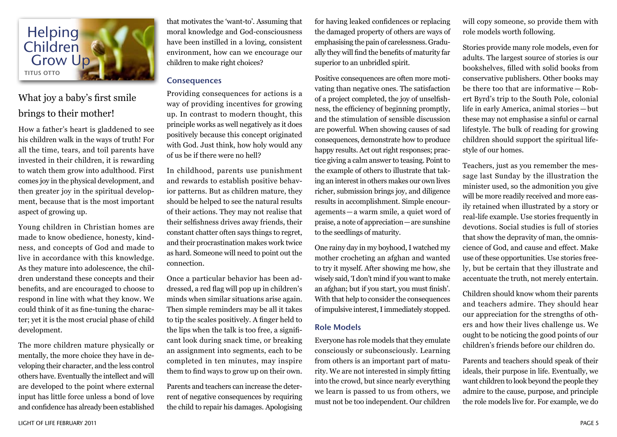

## What joy a baby's first smile brings to their mother!

How a father's heart is gladdened to see his children walk in the ways of truth! For all the time, tears, and toil parents have invested in their children, it is rewarding to watch them grow into adulthood. First comes joy in the physical development, and then greater joy in the spiritual development, because that is the most important aspect of growing up.

Young children in Christian homes are made to know obedience, honesty, kindness, and concepts of God and made to live in accordance with this knowledge. As they mature into adolescence, the children understand these concepts and their benefits, and are encouraged to choose to respond in line with what they know. We could think of it as fine-tuning the character; yet it is the most crucial phase of child development.

The more children mature physically or mentally, the more choice they have in developing their character, and the less control others have. Eventually the intellect and will are developed to the point where external input has little force unless a bond of love and confidence has already been established that motivates the 'want-to'. Assuming that moral knowledge and God-consciousness have been instilled in a loving, consistent environment, how can we encourage our children to make right choices?

#### **Consequences**

Providing consequences for actions is a way of providing incentives for growing up. In contrast to modern thought, this principle works as well negatively as it does positively because this concept originated with God. Just think, how holy would any of us be if there were no hell?

In childhood, parents use punishment and rewards to establish positive behavior patterns. But as children mature, they should be helped to see the natural results of their actions. They may not realise that their selfishness drives away friends, their constant chatter often says things to regret, and their procrastination makes work twice as hard. Someone will need to point out the connection.

Once a particular behavior has been addressed, a red flag will pop up in children's minds when similar situations arise again. Then simple reminders may be all it takes to tip the scales positively. A finger held to the lips when the talk is too free, a significant look during snack time, or breaking an assignment into segments, each to be completed in ten minutes, may inspire them to find ways to grow up on their own.

Parents and teachers can increase the deterrent of negative consequences by requiring the child to repair his damages. Apologising

for having leaked confidences or replacing the damaged property of others are ways of emphasising the pain of carelessness. Gradually they will find the benefits of maturity far superior to an unbridled spirit.

Positive consequences are often more motivating than negative ones. The satisfaction of a project completed, the joy of unselfishness, the efficiency of beginning promptly, and the stimulation of sensible discussion are powerful. When showing causes of sad consequences, demonstrate how to produce happy results. Act out right responses; practice giving a calm answer to teasing. Point to the example of others to illustrate that taking an interest in others makes our own lives richer, submission brings joy, and diligence results in accomplishment. Simple encouragements—a warm smile, a quiet word of praise, a note of appreciation—are sunshine to the seedlings of maturity.

One rainy day in my boyhood, I watched my mother crocheting an afghan and wanted to try it myself. After showing me how, she wisely said, 'I don't mind if you want to make an afghan; but if you start, you must finish'. With that help to consider the consequences of impulsive interest, I immediately stopped.

#### Role Models

Everyone has role models that they emulate consciously or subconsciously. Learning from others is an important part of maturity. We are not interested in simply fitting into the crowd, but since nearly everything we learn is passed to us from others, we must not be too independent. Our children

will copy someone, so provide them with role models worth following.

Stories provide many role models, even for adults. The largest source of stories is our bookshelves, filled with solid books from conservative publishers. Other books may be there too that are informative — Robert Byrd's trip to the South Pole, colonial life in early America, animal stories—but these may not emphasise a sinful or carnal lifestyle. The bulk of reading for growing children should support the spiritual lifestyle of our homes.

Teachers, just as you remember the message last Sunday by the illustration the minister used, so the admonition you give will be more readily received and more easily retained when illustrated by a story or real-life example. Use stories frequently in devotions. Social studies is full of stories that show the depravity of man, the omniscience of God, and cause and effect. Make use of these opportunities. Use stories freely, but be certain that they illustrate and accentuate the truth, not merely entertain.

Children should know whom their parents and teachers admire. They should hear our appreciation for the strengths of others and how their lives challenge us. We ought to be noticing the good points of our children's friends before our children do.

Parents and teachers should speak of their ideals, their purpose in life. Eventually, we want children to look beyond the people they admire to the cause, purpose, and principle the role models live for. For example, we do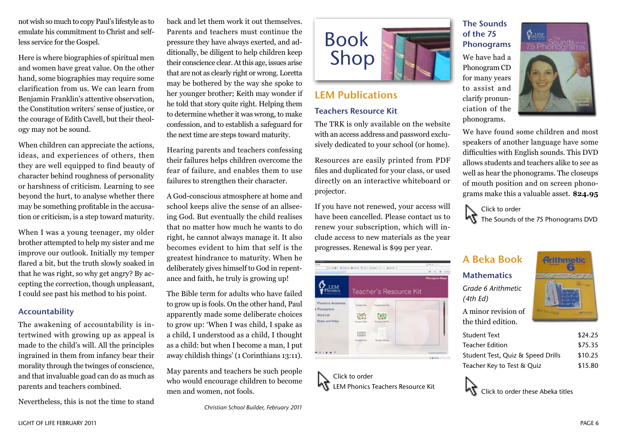not wish so much to copy Paul's lifestyle as to emulate his commitment to Christ and selfless service for the Gospel.

Here is where biographies of spiritual men and women have great value. On the other hand, some biographies may require some clarification from us. We can learn from Benjamin Franklin's attentive observation, the Constitution writers' sense of justice, or the courage of Edith Cavell, but their theology may not be sound.

When children can appreciate the actions, ideas, and experiences of others, then they are well equipped to find beauty of character behind roughness of personality or harshness of criticism. Learning to see beyond the hurt, to analyse whether there may be something profitable in the accusation or criticism, is a step toward maturity.

When I was a young teenager, my older brother attempted to help my sister and me improve our outlook. Initially my temper flared a bit, but the truth slowly soaked in that he was right, so why get angry? By accepting the correction, though unpleasant, I could see past his method to his point.

#### Accountability

The awakening of accountability is intertwined with growing up as appeal is made to the child's will. All the principles ingrained in them from infancy bear their morality through the twinges of conscience, and that invaluable goad can do as much as parents and teachers combined.

Nevertheless, this is not the time to stand

back and let them work it out themselves. Parents and teachers must continue the pressure they have always exerted, and additionally, be diligent to help children keep their conscience clear. At this age, issues arise that are not as clearly right or wrong. Loretta may be bothered by the way she spoke to her younger brother; Keith may wonder if he told that story quite right. Helping them to determine whether it was wrong, to make confession, and to establish a safeguard for the next time are steps toward maturity.

Hearing parents and teachers confessing their failures helps children overcome the fear of failure, and enables them to use failures to strengthen their character.

A God-conscious atmosphere at home and school keeps alive the sense of an allseeing God. But eventually the child realises that no matter how much he wants to do right, he cannot always manage it. It also becomes evident to him that self is the greatest hindrance to maturity. When he deliberately gives himself to God in repentance and faith, he truly is growing up!

The Bible term for adults who have failed to grow up is fools. On the other hand, Paul apparently made some deliberate choices to grow up: 'When I was child, I spake as a child, I understood as a child, I thought as a child: but when I become a man, I put away childish things' (1 Corinthians 13:11).

May parents and teachers be such people who would encourage children to become men and women, not fools.



# LEM Publications

#### Teachers Resource Kit

The TRK is only available on the website with an access address and password exclusively dedicated to your school (or home).

Resources are easily printed from PDF files and duplicated for your class, or used directly on an interactive whiteboard or projector.

If you have not renewed, your access will have been cancelled. Please contact us to renew your subscription, which will include access to new materials as the year progresses. Renewal is \$99 per year.

| <b>CALL AND</b>                                                   |                        | 4.50 4.1 -<br>8.1.8 |
|-------------------------------------------------------------------|------------------------|---------------------|
|                                                                   | Teacher's Resource Kit | Photograph State    |
| Phonenic Awareness<br>Phonigrams:<br>Word List<br>Notes and Helps | 1.144<br>$16 - 1$      |                     |
|                                                                   | UU.<br><b>ATA</b>      |                     |
|                                                                   |                        | --<br>A 49 YEAR     |

Click to order LEM Phonics Teachers Resource Kit

### The Sounds of the 75 Phonograms

We have had a Phonogram CD for many years to assist and clarify pronunciation of the phonograms.



We have found some children and most speakers of another language have some difficulties with English sounds. This DVD allows students and teachers alike to see as well as hear the phonograms. The closeups of mouth position and on screen phonograms make this a valuable asset. **\$24.95**

Click to order **MT** The Sounds of the 75 Phonograms DVD

## A Beka Book

**Mathematics** *Grade 6 Arithmetic (4th Ed)* A minor revision of the third edition.



| <b>Student Text</b>               | \$24.25 |
|-----------------------------------|---------|
| <b>Teacher Edition</b>            | \$75.35 |
| Student Test, Quiz & Speed Drills | \$10.25 |
| Teacher Key to Test & Quiz        | \$15.80 |

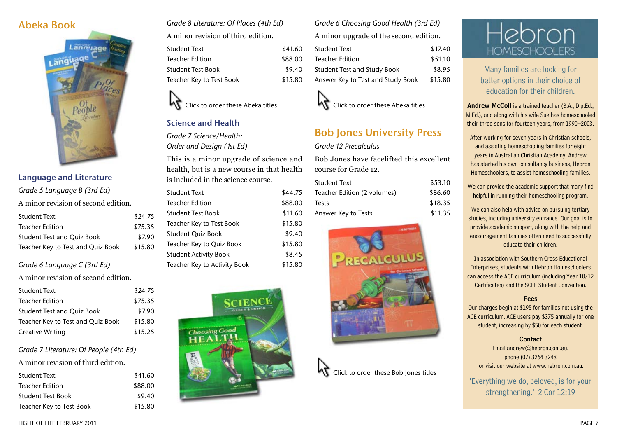### Abeka Book



#### Language and Literature

| Grade 5 Language B (3rd Ed)         |         |
|-------------------------------------|---------|
| A minor revision of second edition. |         |
| <b>Student Text</b>                 | \$24.75 |
| <b>Teacher Edition</b>              | \$75.35 |
| <b>Student Test and Quiz Book</b>   | \$7.90  |
| Teacher Key to Test and Quiz Book   | \$15.80 |
|                                     |         |

#### *Grade 6 Language C (3rd Ed)*

A minor revision of second edition.

| <b>Student Text</b>               | \$24.75 |
|-----------------------------------|---------|
| <b>Teacher Edition</b>            | \$75.35 |
| <b>Student Test and Quiz Book</b> | \$7.90  |
| Teacher Key to Test and Quiz Book | \$15.80 |
| Creative Writing                  | \$15.25 |

#### *Grade 7 Literature: Of People (4th Ed)*

A minor revision of third edition.

| Student Text             | \$41.60 |
|--------------------------|---------|
| Teacher Edition          | \$88.00 |
| Student Test Book        | \$9.40  |
| Teacher Key to Test Book | \$15.80 |

*Grade 8 Literature: Of Places (4th Ed)* A minor revision of third edition.

| <b>Student Text</b>      | \$41.60 |
|--------------------------|---------|
| <b>Teacher Edition</b>   | \$88.00 |
| <b>Student Test Book</b> | \$9.40  |
| Teacher Key to Test Book | \$15.80 |



#### Science and Health

*Grade 7 Science/Health: Order and Design (1st Ed)*

This is a minor upgrade of science and health, but is a new course in that health is included in the science course.

| <b>Student Text</b>          | \$44.75 |
|------------------------------|---------|
| <b>Teacher Edition</b>       | \$88.00 |
| <b>Student Test Book</b>     | \$11.60 |
| Teacher Key to Test Book     | \$15.80 |
| <b>Student Quiz Book</b>     | \$9.40  |
| Teacher Key to Quiz Book     | \$15.80 |
| <b>Student Activity Book</b> | \$8.45  |
| Teacher Key to Activity Book | \$15.80 |



*Grade 6 Choosing Good Health (3rd Ed)* A minor upgrade of the second edition.

| <b>Student Text</b>                | \$17.40 |
|------------------------------------|---------|
| Teacher Edition                    | \$51.10 |
| <b>Student Test and Study Book</b> | \$8.95  |
| Answer Key to Test and Study Book  | \$15.80 |



### Bob Jones University Press

#### *Grade 12 Precalculus*

Bob Jones have facelifted this excellent course for Grade 12.

| Student Text                | \$53.10 |
|-----------------------------|---------|
| Teacher Edition (2 volumes) | \$86.60 |
| <b>Tests</b>                | \$18.35 |
| Answer Key to Tests         | \$11.35 |







Many families are looking for better options in their choice of education for their children.

Andrew McColl is a trained teacher (B.A., Dip.Ed., M.Ed.), and along with his wife Sue has homeschooled their three sons for fourteen years, from 1990–2003.

After working for seven years in Christian schools, and assisting homeschooling families for eight years in Australian Christian Academy, Andrew has started his own consultancy business, Hebron Homeschoolers, to assist homeschooling families.

We can provide the academic support that many find helpful in running their homeschooling program.

We can also help with advice on pursuing tertiary studies, including university entrance. Our goal is to provide academic support, along with the help and encouragement families often need to successfully educate their children.

In association with Southern Cross Educational Enterprises, students with Hebron Homeschoolers can access the ACE curriculum (including Year 10/12 Certificates) and the SCEE Student Convention.

#### Fees

Our charges begin at \$195 for families not using the ACE curriculum. ACE users pay \$375 annually for one student, increasing by \$50 for each student.

#### **Contact**

Email andrew@hebron.com.au, phone (07) 3264 3248 or visit our website at www.hebron.com.au.

'Everything we do, beloved, is for your strengthening.' 2 Cor 12:19